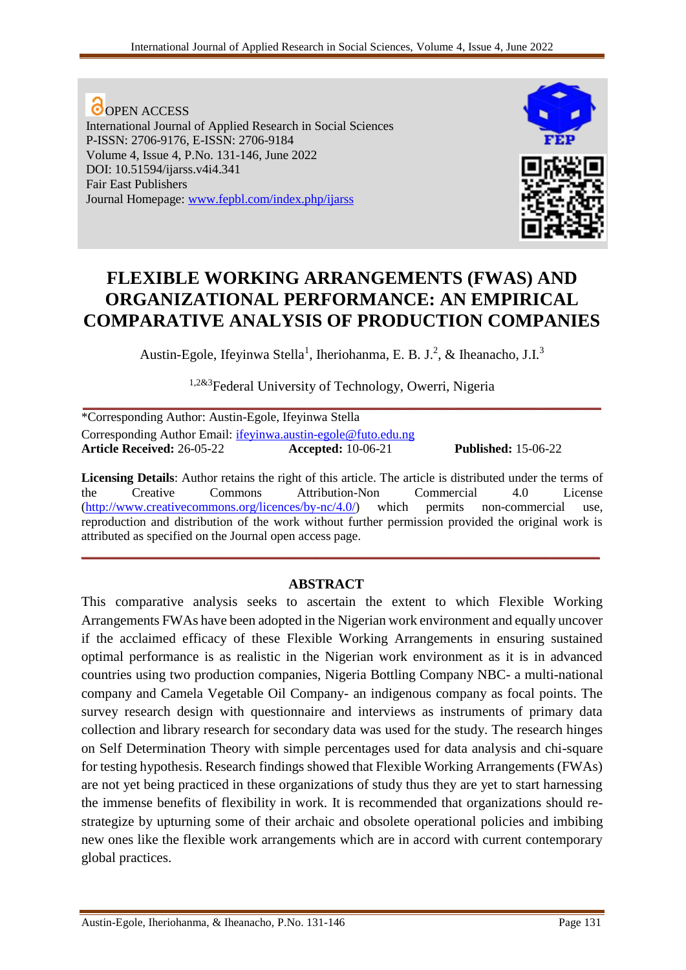**O**OPEN ACCESS International Journal of Applied Research in Social Sciences P-ISSN: 2706-9176, E-ISSN: 2706-9184 Volume 4, Issue 4, P.No. 131-146, June 2022 DOI: 10.51594/ijarss.v4i4.341 Fair East Publishers Journal Homepage: [www.fepbl.com/index.php/ijarss](http://www.fepbl.com/index.php/ijarss)



# **FLEXIBLE WORKING ARRANGEMENTS (FWAS) AND ORGANIZATIONAL PERFORMANCE: AN EMPIRICAL COMPARATIVE ANALYSIS OF PRODUCTION COMPANIES**

Austin-Egole, Ifeyinwa Stella<sup>1</sup>, Iheriohanma, E. B. J.<sup>2</sup>, & Iheanacho, J.I.<sup>3</sup>

<sup>1,2&3</sup>Federal University of Technology, Owerri, Nigeria

| *Corresponding Author: Austin-Egole, Ifeyinwa Stella                 |                           |                            |
|----------------------------------------------------------------------|---------------------------|----------------------------|
| Corresponding Author Email: <i>ifeyinwa.austin-egole@futo.edu.ng</i> |                           |                            |
| <b>Article Received: 26-05-22</b>                                    | <b>Accepted:</b> 10-06-21 | <b>Published:</b> 15-06-22 |

**Licensing Details**: Author retains the right of this article. The article is distributed under the terms of the Creative Commons Attribution-Non Commercial 4.0 License [\(http://www.creativecommons.org/licences/by-nc/4.0/\)](http://www.creativecommons.org/licences/by-nc/4.0/) which permits non-commercial use, reproduction and distribution of the work without further permission provided the original work is attributed as specified on the Journal open access page.

**\_\_\_\_\_\_\_\_\_\_\_\_\_\_\_\_\_\_\_\_\_\_\_\_\_\_\_\_\_\_\_\_\_\_\_\_\_\_\_\_\_\_\_\_\_\_\_\_\_\_\_\_\_\_\_\_\_\_\_\_\_\_\_\_\_\_\_\_\_\_\_\_\_\_\_**

# **ABSTRACT**

This comparative analysis seeks to ascertain the extent to which Flexible Working Arrangements FWAs have been adopted in the Nigerian work environment and equally uncover if the acclaimed efficacy of these Flexible Working Arrangements in ensuring sustained optimal performance is as realistic in the Nigerian work environment as it is in advanced countries using two production companies, Nigeria Bottling Company NBC- a multi-national company and Camela Vegetable Oil Company- an indigenous company as focal points. The survey research design with questionnaire and interviews as instruments of primary data collection and library research for secondary data was used for the study. The research hinges on Self Determination Theory with simple percentages used for data analysis and chi-square for testing hypothesis. Research findings showed that Flexible Working Arrangements (FWAs) are not yet being practiced in these organizations of study thus they are yet to start harnessing the immense benefits of flexibility in work. It is recommended that organizations should restrategize by upturning some of their archaic and obsolete operational policies and imbibing new ones like the flexible work arrangements which are in accord with current contemporary global practices.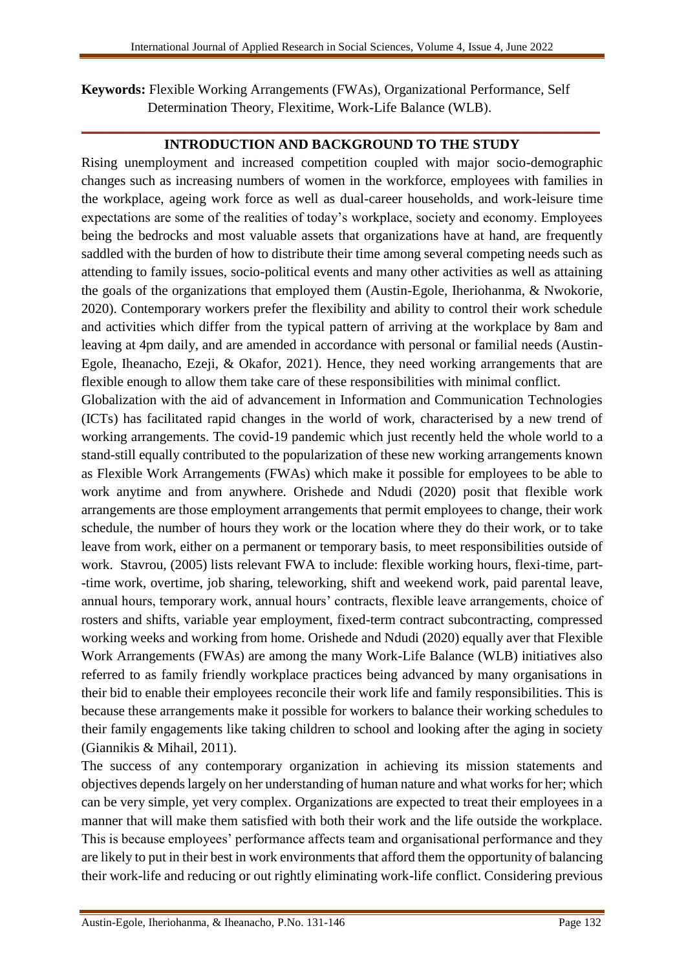**Keywords:** Flexible Working Arrangements (FWAs), Organizational Performance, Self Determination Theory, Flexitime, Work-Life Balance (WLB).

# **\_\_\_\_\_\_\_\_\_\_\_\_\_\_\_\_\_\_\_\_\_\_\_\_\_\_\_\_\_\_\_\_\_\_\_\_\_\_\_\_\_\_\_\_\_\_\_\_\_\_\_\_\_\_\_\_\_\_\_\_\_\_\_\_\_\_\_\_\_\_\_\_\_\_\_ INTRODUCTION AND BACKGROUND TO THE STUDY**

Rising unemployment and increased competition coupled with major socio-demographic changes such as increasing numbers of women in the workforce, employees with families in the workplace, ageing work force as well as dual-career households, and work-leisure time expectations are some of the realities of today's workplace, society and economy. Employees being the bedrocks and most valuable assets that organizations have at hand, are frequently saddled with the burden of how to distribute their time among several competing needs such as attending to family issues, socio-political events and many other activities as well as attaining the goals of the organizations that employed them (Austin-Egole, Iheriohanma, & Nwokorie, 2020). Contemporary workers prefer the flexibility and ability to control their work schedule and activities which differ from the typical pattern of arriving at the workplace by 8am and leaving at 4pm daily, and are amended in accordance with personal or familial needs (Austin-Egole, Iheanacho, Ezeji, & Okafor, 2021). Hence, they need working arrangements that are flexible enough to allow them take care of these responsibilities with minimal conflict.

Globalization with the aid of advancement in Information and Communication Technologies (ICTs) has facilitated rapid changes in the world of work, characterised by a new trend of working arrangements. The covid-19 pandemic which just recently held the whole world to a stand-still equally contributed to the popularization of these new working arrangements known as Flexible Work Arrangements (FWAs) which make it possible for employees to be able to work anytime and from anywhere. Orishede and Ndudi (2020) posit that flexible work arrangements are those employment arrangements that permit employees to change, their work schedule, the number of hours they work or the location where they do their work, or to take leave from work, either on a permanent or temporary basis, to meet responsibilities outside of work. Stavrou, (2005) lists relevant FWA to include: flexible working hours, flexi-time, part- -time work, overtime, job sharing, teleworking, shift and weekend work, paid parental leave, annual hours, temporary work, annual hours' contracts, flexible leave arrangements, choice of rosters and shifts, variable year employment, fixed-term contract subcontracting, compressed working weeks and working from home. Orishede and Ndudi (2020) equally aver that Flexible Work Arrangements (FWAs) are among the many Work-Life Balance (WLB) initiatives also referred to as family friendly workplace practices being advanced by many organisations in their bid to enable their employees reconcile their work life and family responsibilities. This is because these arrangements make it possible for workers to balance their working schedules to their family engagements like taking children to school and looking after the aging in society (Giannikis & Mihail, 2011).

The success of any contemporary organization in achieving its mission statements and objectives depends largely on her understanding of human nature and what works for her; which can be very simple, yet very complex. Organizations are expected to treat their employees in a manner that will make them satisfied with both their work and the life outside the workplace. This is because employees' performance affects team and organisational performance and they are likely to put in their best in work environments that afford them the opportunity of balancing their work-life and reducing or out rightly eliminating work-life conflict. Considering previous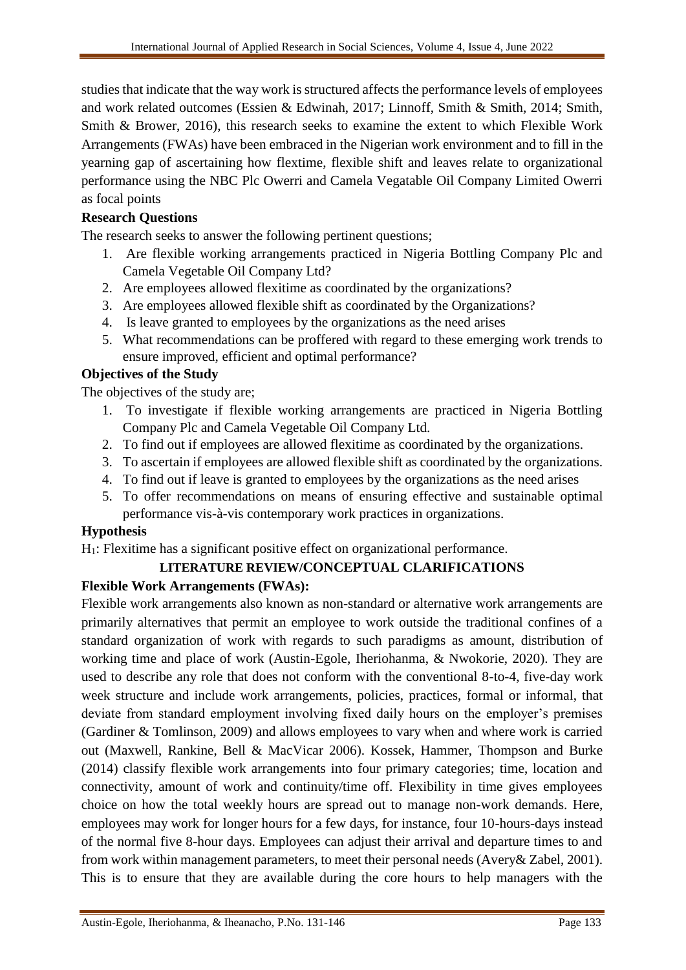studies that indicate that the way work is structured affects the performance levels of employees and work related outcomes (Essien & Edwinah, 2017; Linnoff, Smith & Smith, 2014; Smith, Smith & Brower, 2016), this research seeks to examine the extent to which Flexible Work Arrangements (FWAs) have been embraced in the Nigerian work environment and to fill in the yearning gap of ascertaining how flextime, flexible shift and leaves relate to organizational performance using the NBC Plc Owerri and Camela Vegatable Oil Company Limited Owerri as focal points

## **Research Questions**

The research seeks to answer the following pertinent questions;

- 1. Are flexible working arrangements practiced in Nigeria Bottling Company Plc and Camela Vegetable Oil Company Ltd?
- 2. Are employees allowed flexitime as coordinated by the organizations?
- 3. Are employees allowed flexible shift as coordinated by the Organizations?
- 4. Is leave granted to employees by the organizations as the need arises
- 5. What recommendations can be proffered with regard to these emerging work trends to ensure improved, efficient and optimal performance?

## **Objectives of the Study**

The objectives of the study are;

- 1. To investigate if flexible working arrangements are practiced in Nigeria Bottling Company Plc and Camela Vegetable Oil Company Ltd.
- 2. To find out if employees are allowed flexitime as coordinated by the organizations.
- 3. To ascertain if employees are allowed flexible shift as coordinated by the organizations.
- 4. To find out if leave is granted to employees by the organizations as the need arises
- 5. To offer recommendations on means of ensuring effective and sustainable optimal performance vis-à-vis contemporary work practices in organizations.

## **Hypothesis**

H1: Flexitime has a significant positive effect on organizational performance.

## **LITERATURE REVIEW/CONCEPTUAL CLARIFICATIONS**

## **Flexible Work Arrangements (FWAs):**

Flexible work arrangements also known as non-standard or alternative work arrangements are primarily alternatives that permit an employee to work outside the traditional confines of a standard organization of work with regards to such paradigms as amount, distribution of working time and place of work (Austin-Egole, Iheriohanma, & Nwokorie, 2020). They are used to describe any role that does not conform with the conventional 8-to-4, five-day work week structure and include work arrangements, policies, practices, formal or informal, that deviate from standard employment involving fixed daily hours on the employer's premises (Gardiner & Tomlinson, 2009) and allows employees to vary when and where work is carried out (Maxwell, Rankine, Bell & MacVicar 2006). Kossek, Hammer, Thompson and Burke (2014) classify flexible work arrangements into four primary categories; time, location and connectivity, amount of work and continuity/time off. Flexibility in time gives employees choice on how the total weekly hours are spread out to manage non-work demands. Here, employees may work for longer hours for a few days, for instance, four 10-hours-days instead of the normal five 8-hour days. Employees can adjust their arrival and departure times to and from work within management parameters, to meet their personal needs (Avery& Zabel, 2001). This is to ensure that they are available during the core hours to help managers with the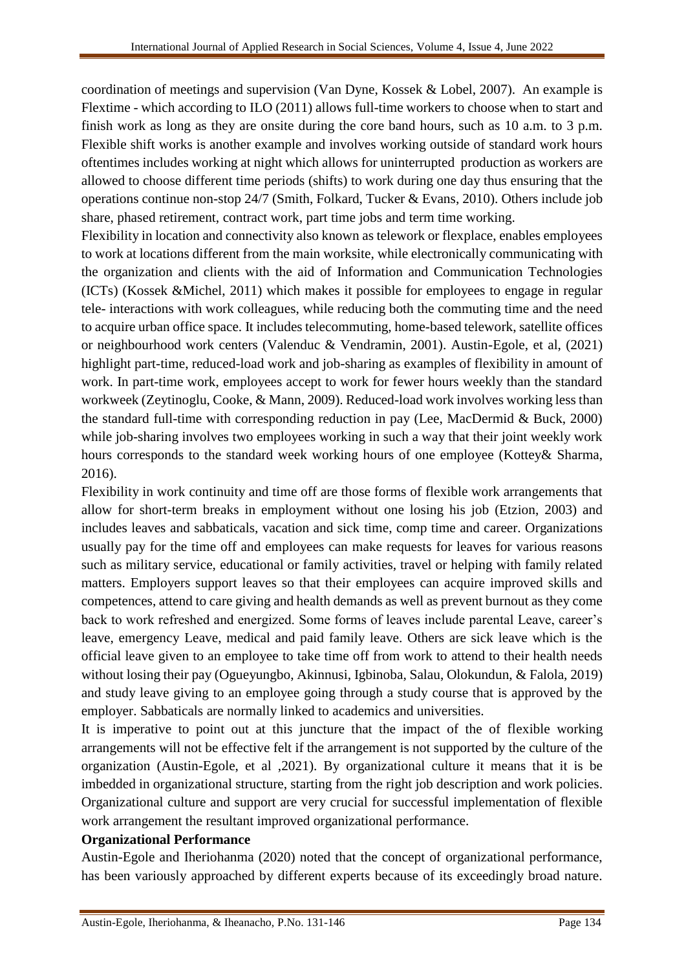coordination of meetings and supervision (Van Dyne, Kossek & Lobel, 2007). An example is Flextime - which according to ILO (2011) allows full-time workers to choose when to start and finish work as long as they are onsite during the core band hours, such as 10 a.m. to 3 p.m. Flexible shift works is another example and involves working outside of standard work hours oftentimes includes working at night which allows for uninterrupted production as workers are allowed to choose different time periods (shifts) to work during one day thus ensuring that the operations continue non-stop 24/7 (Smith, Folkard, Tucker & Evans, 2010). Others include job share, phased retirement, contract work, part time jobs and term time working.

Flexibility in location and connectivity also known as telework or flexplace, enables employees to work at locations different from the main worksite, while electronically communicating with the organization and clients with the aid of Information and Communication Technologies (ICTs) (Kossek &Michel, 2011) which makes it possible for employees to engage in regular tele- interactions with work colleagues, while reducing both the commuting time and the need to acquire urban office space. It includes telecommuting, home-based telework, satellite offices or neighbourhood work centers (Valenduc & Vendramin, 2001). Austin-Egole, et al, (2021) highlight part-time, reduced-load work and job-sharing as examples of flexibility in amount of work. In part-time work, employees accept to work for fewer hours weekly than the standard workweek (Zeytinoglu, Cooke, & Mann, 2009). Reduced-load work involves working less than the standard full-time with corresponding reduction in pay (Lee, MacDermid & Buck, 2000) while job-sharing involves two employees working in such a way that their joint weekly work hours corresponds to the standard week working hours of one employee (Kottey& Sharma, 2016).

Flexibility in work continuity and time off are those forms of flexible work arrangements that allow for short-term breaks in employment without one losing his job (Etzion, 2003) and includes leaves and sabbaticals, vacation and sick time, comp time and career. Organizations usually pay for the time off and employees can make requests for leaves for various reasons such as military service, educational or family activities, travel or helping with family related matters. Employers support leaves so that their employees can acquire improved skills and competences, attend to care giving and health demands as well as prevent burnout as they come back to work refreshed and energized. Some forms of leaves include parental Leave, career's leave, emergency Leave, medical and paid family leave. Others are sick leave which is the official leave given to an employee to take time off from work to attend to their health needs without losing their pay (Ogueyungbo, Akinnusi, Igbinoba, Salau, Olokundun, & Falola, 2019) and study leave giving to an employee going through a study course that is approved by the employer. Sabbaticals are normally linked to academics and universities.

It is imperative to point out at this juncture that the impact of the of flexible working arrangements will not be effective felt if the arrangement is not supported by the culture of the organization (Austin-Egole, et al ,2021). By organizational culture it means that it is be imbedded in organizational structure, starting from the right job description and work policies. Organizational culture and support are very crucial for successful implementation of flexible work arrangement the resultant improved organizational performance.

#### **Organizational Performance**

Austin-Egole and Iheriohanma (2020) noted that the concept of organizational performance, has been variously approached by different experts because of its exceedingly broad nature.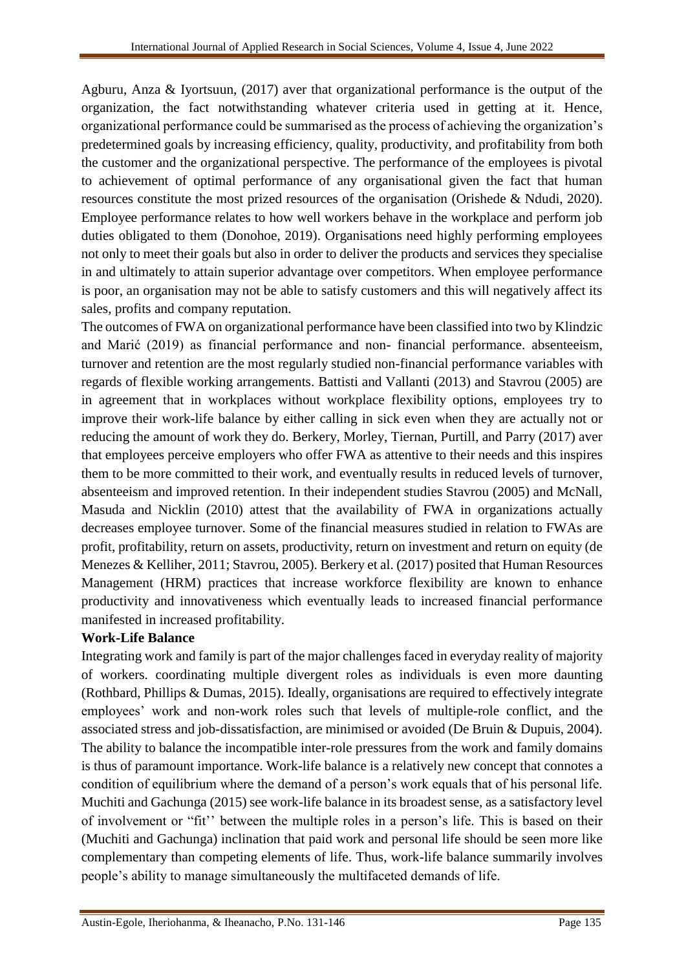Agburu, Anza & Iyortsuun, (2017) aver that organizational performance is the output of the organization, the fact notwithstanding whatever criteria used in getting at it. Hence, organizational performance could be summarised as the process of achieving the organization's predetermined goals by increasing efficiency, quality, productivity, and profitability from both the customer and the organizational perspective. The performance of the employees is pivotal to achievement of optimal performance of any organisational given the fact that human resources constitute the most prized resources of the organisation (Orishede & Ndudi, 2020). Employee performance relates to how well workers behave in the workplace and perform job duties obligated to them (Donohoe, 2019). Organisations need highly performing employees not only to meet their goals but also in order to deliver the products and services they specialise in and ultimately to attain superior advantage over competitors. When employee performance is poor, an organisation may not be able to satisfy customers and this will negatively affect its sales, profits and company reputation.

The outcomes of FWA on organizational performance have been classified into two by Klindzic and Marić (2019) as financial performance and non- financial performance. absenteeism, turnover and retention are the most regularly studied non-financial performance variables with regards of flexible working arrangements. Battisti and Vallanti (2013) and Stavrou (2005) are in agreement that in workplaces without workplace flexibility options, employees try to improve their work-life balance by either calling in sick even when they are actually not or reducing the amount of work they do. Berkery, Morley, Tiernan, Purtill, and Parry (2017) aver that employees perceive employers who offer FWA as attentive to their needs and this inspires them to be more committed to their work, and eventually results in reduced levels of turnover, absenteeism and improved retention. In their independent studies Stavrou (2005) and McNall, Masuda and Nicklin (2010) attest that the availability of FWA in organizations actually decreases employee turnover. Some of the financial measures studied in relation to FWAs are profit, profitability, return on assets, productivity, return on investment and return on equity (de Menezes & Kelliher, 2011; Stavrou, 2005). Berkery et al. (2017) posited that Human Resources Management (HRM) practices that increase workforce flexibility are known to enhance productivity and innovativeness which eventually leads to increased financial performance manifested in increased profitability.

## **Work-Life Balance**

Integrating work and family is part of the major challenges faced in everyday reality of majority of workers. coordinating multiple divergent roles as individuals is even more daunting (Rothbard, Phillips & Dumas, 2015). Ideally, organisations are required to effectively integrate employees' work and non-work roles such that levels of multiple-role conflict, and the associated stress and job-dissatisfaction, are minimised or avoided (De Bruin & Dupuis, 2004). The ability to balance the incompatible inter-role pressures from the work and family domains is thus of paramount importance. Work-life balance is a relatively new concept that connotes a condition of equilibrium where the demand of a person's work equals that of his personal life. Muchiti and Gachunga (2015) see work-life balance in its broadest sense, as a satisfactory level of involvement or "fit'' between the multiple roles in a person's life. This is based on their (Muchiti and Gachunga) inclination that paid work and personal life should be seen more like complementary than competing elements of life. Thus, work-life balance summarily involves people's ability to manage simultaneously the multifaceted demands of life.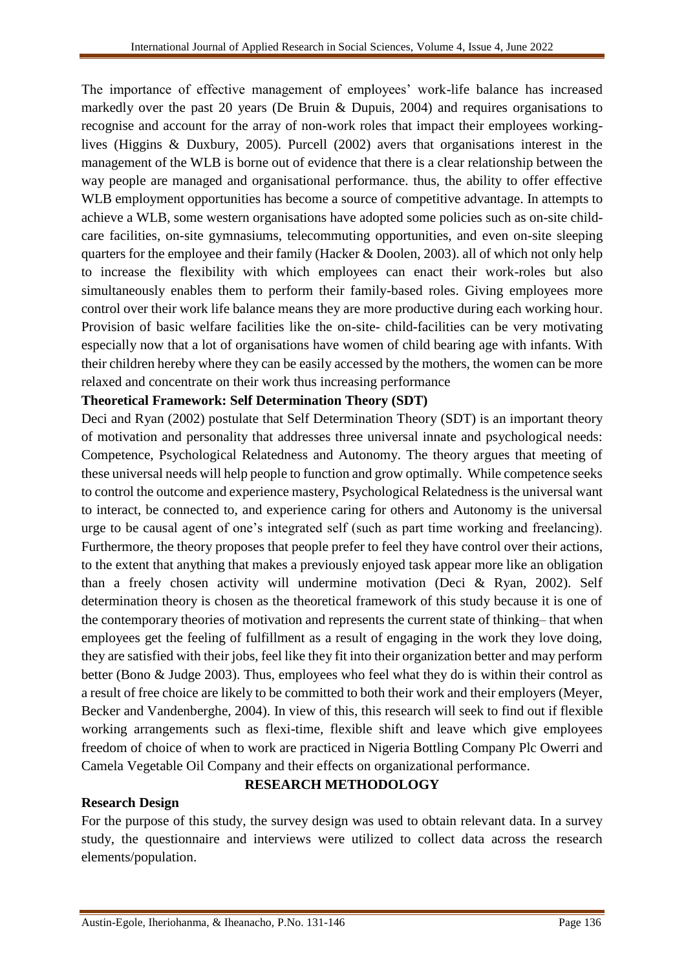The importance of effective management of employees' work-life balance has increased markedly over the past 20 years (De Bruin & Dupuis, 2004) and requires organisations to recognise and account for the array of non-work roles that impact their employees workinglives (Higgins & Duxbury, 2005). Purcell (2002) avers that organisations interest in the management of the WLB is borne out of evidence that there is a clear relationship between the way people are managed and organisational performance. thus, the ability to offer effective WLB employment opportunities has become a source of competitive advantage. In attempts to achieve a WLB, some western organisations have adopted some policies such as on-site childcare facilities, on-site gymnasiums, telecommuting opportunities, and even on-site sleeping quarters for the employee and their family (Hacker & Doolen, 2003). all of which not only help to increase the flexibility with which employees can enact their work-roles but also simultaneously enables them to perform their family-based roles. Giving employees more control over their work life balance means they are more productive during each working hour. Provision of basic welfare facilities like the on-site- child-facilities can be very motivating especially now that a lot of organisations have women of child bearing age with infants. With their children hereby where they can be easily accessed by the mothers, the women can be more relaxed and concentrate on their work thus increasing performance

## **Theoretical Framework: Self Determination Theory (SDT)**

Deci and Ryan (2002) postulate that Self Determination Theory (SDT) is an important theory of motivation and personality that addresses three universal innate and psychological needs: Competence, Psychological Relatedness and Autonomy. The theory argues that meeting of these universal needs will help people to function and grow optimally. While competence seeks to control the outcome and experience mastery, Psychological Relatedness is the universal want to interact, be connected to, and experience caring for others and Autonomy is the universal urge to be causal agent of one's integrated self (such as part time working and freelancing). Furthermore, the theory proposes that people prefer to feel they have control over their actions, to the extent that anything that makes a previously enjoyed task appear more like an obligation than a freely chosen activity will undermine motivation (Deci & Ryan, 2002). Self determination theory is chosen as the theoretical framework of this study because it is one of the contemporary theories of motivation and represents the current state of thinking– that when employees get the feeling of fulfillment as a result of engaging in the work they love doing, they are satisfied with their jobs, feel like they fit into their organization better and may perform better (Bono & Judge 2003). Thus, employees who feel what they do is within their control as a result of free choice are likely to be committed to both their work and their employers (Meyer, Becker and Vandenberghe, 2004). In view of this, this research will seek to find out if flexible working arrangements such as flexi-time, flexible shift and leave which give employees freedom of choice of when to work are practiced in Nigeria Bottling Company Plc Owerri and Camela Vegetable Oil Company and their effects on organizational performance.

## **RESEARCH METHODOLOGY**

#### **Research Design**

For the purpose of this study, the survey design was used to obtain relevant data. In a survey study, the questionnaire and interviews were utilized to collect data across the research elements/population.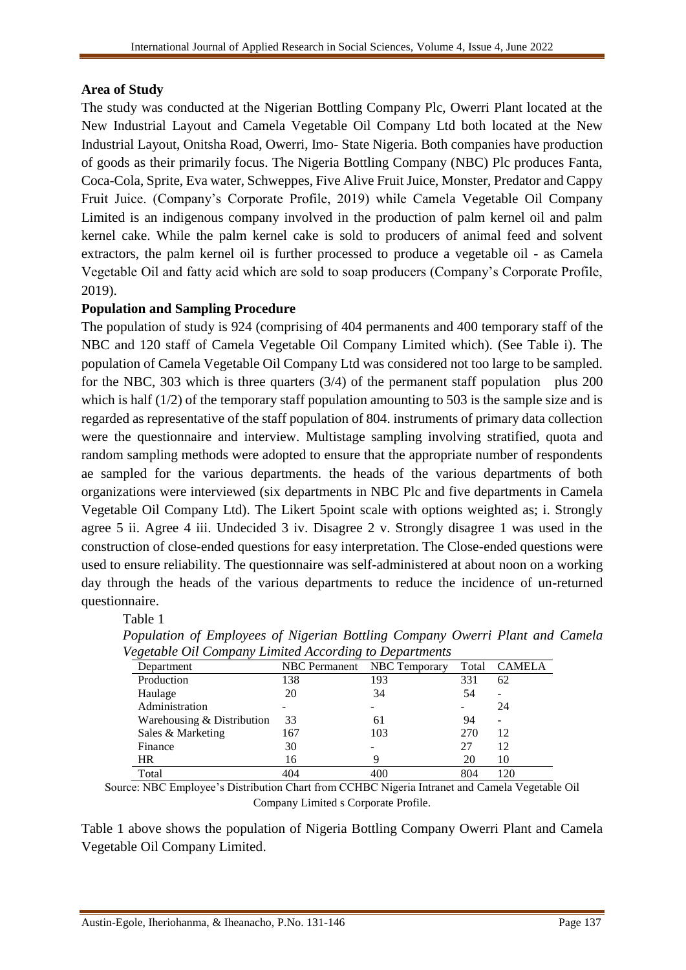## **Area of Study**

The study was conducted at the Nigerian Bottling Company Plc, Owerri Plant located at the New Industrial Layout and Camela Vegetable Oil Company Ltd both located at the New Industrial Layout, Onitsha Road, Owerri, Imo- State Nigeria. Both companies have production of goods as their primarily focus. The Nigeria Bottling Company (NBC) Plc produces Fanta, Coca-Cola, Sprite, Eva water, Schweppes, Five Alive Fruit Juice, Monster, Predator and Cappy Fruit Juice. (Company's Corporate Profile, 2019) while Camela Vegetable Oil Company Limited is an indigenous company involved in the production of palm kernel oil and palm kernel cake. While the palm kernel cake is sold to producers of animal feed and solvent extractors, the palm kernel oil is further processed to produce a vegetable oil - as Camela Vegetable Oil and fatty acid which are sold to soap producers (Company's Corporate Profile, 2019).

## **Population and Sampling Procedure**

The population of study is 924 (comprising of 404 permanents and 400 temporary staff of the NBC and 120 staff of Camela Vegetable Oil Company Limited which). (See Table i). The population of Camela Vegetable Oil Company Ltd was considered not too large to be sampled. for the NBC, 303 which is three quarters (3/4) of the permanent staff population plus 200 which is half (1/2) of the temporary staff population amounting to 503 is the sample size and is regarded as representative of the staff population of 804. instruments of primary data collection were the questionnaire and interview. Multistage sampling involving stratified, quota and random sampling methods were adopted to ensure that the appropriate number of respondents ae sampled for the various departments. the heads of the various departments of both organizations were interviewed (six departments in NBC Plc and five departments in Camela Vegetable Oil Company Ltd). The Likert 5point scale with options weighted as; i. Strongly agree 5 ii. Agree 4 iii. Undecided 3 iv. Disagree 2 v. Strongly disagree 1 was used in the construction of close-ended questions for easy interpretation. The Close-ended questions were used to ensure reliability. The questionnaire was self-administered at about noon on a working day through the heads of the various departments to reduce the incidence of un-returned questionnaire.

#### Table 1

| vegetable Ott Company Limited According to Departments |     |                             |       |               |
|--------------------------------------------------------|-----|-----------------------------|-------|---------------|
| Department                                             |     | NBC Permanent NBC Temporary | Total | <b>CAMELA</b> |
| Production                                             | 138 | 193                         | 331   | 62            |
| Haulage                                                | 20  | 34                          | 54    | -             |
| Administration                                         |     |                             |       | 24            |
| Warehousing & Distribution                             | 33  | 61                          | 94    | -             |
| Sales & Marketing                                      | 167 | 103                         | 270   | 12            |
| Finance                                                | 30  |                             | 27    | 12            |
| HR.                                                    | 16  |                             | 20    | 10            |
| Total                                                  | 404 |                             | 804   | 120           |

*Population of Employees of Nigerian Bottling Company Owerri Plant and Camela Vegetable Oil Company Limited According to Departments*

Source: NBC Employee's Distribution Chart from CCHBC Nigeria Intranet and Camela Vegetable Oil Company Limited s Corporate Profile.

Table 1 above shows the population of Nigeria Bottling Company Owerri Plant and Camela Vegetable Oil Company Limited.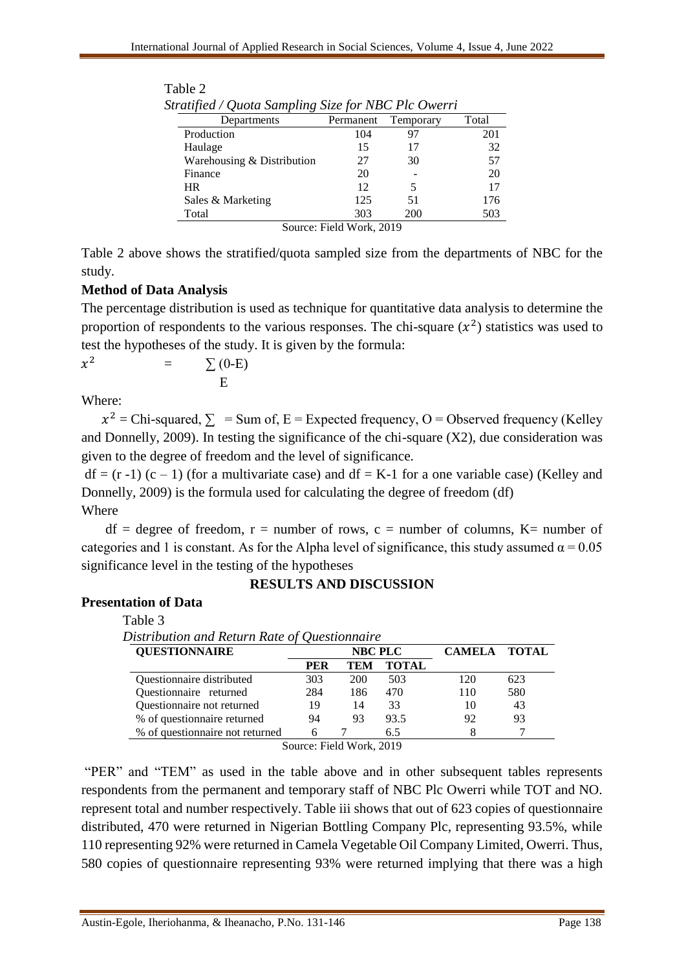| Departments                | Permanent                | Temporary | Total |  |  |  |  |  |  |  |  |
|----------------------------|--------------------------|-----------|-------|--|--|--|--|--|--|--|--|
| Production                 | 104                      | 97        | 201   |  |  |  |  |  |  |  |  |
| Haulage                    | 15                       | 17        | 32    |  |  |  |  |  |  |  |  |
| Warehousing & Distribution | 27                       | 30        | 57    |  |  |  |  |  |  |  |  |
| Finance                    | 20                       |           | 20    |  |  |  |  |  |  |  |  |
| <b>HR</b>                  | 12                       | 5         | 17    |  |  |  |  |  |  |  |  |
| Sales & Marketing          | 125                      | 51        | 176   |  |  |  |  |  |  |  |  |
| Total                      | 303                      | 200       | 503   |  |  |  |  |  |  |  |  |
|                            | Source: Field Work, 2019 |           |       |  |  |  |  |  |  |  |  |

| Table 2                                             |  |  |
|-----------------------------------------------------|--|--|
| Stratified / Quota Sampling Size for NBC Plc Owerri |  |  |

Table 2 above shows the stratified/quota sampled size from the departments of NBC for the study.

## **Method of Data Analysis**

The percentage distribution is used as technique for quantitative data analysis to determine the proportion of respondents to the various responses. The chi-square  $(x^2)$  statistics was used to test the hypotheses of the study. It is given by the formula:

$$
x^2 = \sum_{E} (0-E)
$$

Where:

 $x^2$  = Chi-squared,  $\sum$  = Sum of, E = Expected frequency, O = Observed frequency (Kelley and Donnelly, 2009). In testing the significance of the chi-square  $(X2)$ , due consideration was given to the degree of freedom and the level of significance.

 $df = (r - 1) (c - 1)$  (for a multivariate case) and  $df = K-1$  for a one variable case) (Kelley and Donnelly, 2009) is the formula used for calculating the degree of freedom (df) Where

 $df = degree of freedom, r = number of rows, c = number of columns, K = number of$ categories and 1 is constant. As for the Alpha level of significance, this study assumed  $\alpha = 0.05$ significance level in the testing of the hypotheses

#### **RESULTS AND DISCUSSION**

## **Presentation of Data**

Table 3

| Distribution and Return Rate of Questionnaire |            |                                        |              |               |              |
|-----------------------------------------------|------------|----------------------------------------|--------------|---------------|--------------|
| <b>QUESTIONNAIRE</b>                          |            | <b>NBC PLC</b>                         |              | <b>CAMELA</b> | <b>TOTAL</b> |
|                                               | <b>PER</b> | TEM                                    | <b>TOTAL</b> |               |              |
| <b>Ouestionnaire distributed</b>              | 303        | 200                                    | 503          | 120           | 623          |
| Questionnaire returned                        | 284        | 186                                    | 470          | 110           | 580          |
| Questionnaire not returned                    | 19         | 14                                     | 33           | 10            | 43           |
| % of questionnaire returned                   | 94         | 93                                     | 93.5         | 92            | 93           |
| % of questionnaire not returned               | 6          |                                        | 6.5          |               |              |
|                                               |            | $\gamma_{\text{ouco}}$ Eight Work 2010 |              |               |              |

Source: Field Work, 2019

"PER" and "TEM" as used in the table above and in other subsequent tables represents respondents from the permanent and temporary staff of NBC Plc Owerri while TOT and NO. represent total and number respectively. Table iii shows that out of 623 copies of questionnaire distributed, 470 were returned in Nigerian Bottling Company Plc, representing 93.5%, while 110 representing 92% were returned in Camela Vegetable Oil Company Limited, Owerri. Thus, 580 copies of questionnaire representing 93% were returned implying that there was a high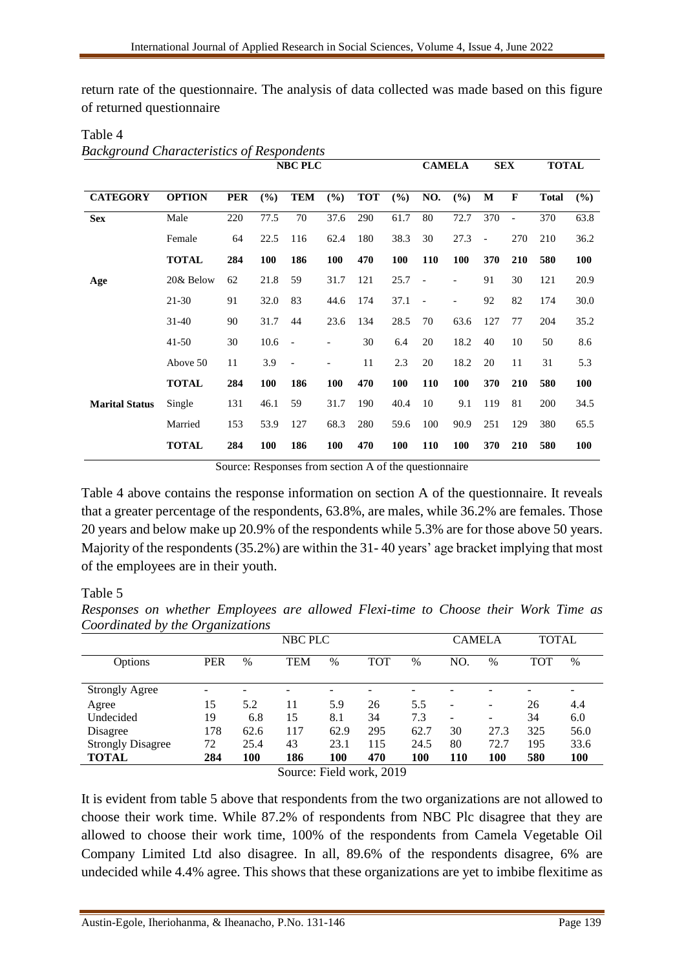return rate of the questionnaire. The analysis of data collected was made based on this figure of returned questionnaire

|                       |               |            |            | <b>NBC PLC</b>           |                          |            |      | <b>CAMELA</b>            |      | <b>SEX</b>               |                | <b>TOTAL</b> |            |
|-----------------------|---------------|------------|------------|--------------------------|--------------------------|------------|------|--------------------------|------|--------------------------|----------------|--------------|------------|
| <b>CATEGORY</b>       | <b>OPTION</b> | <b>PER</b> | (%)        | <b>TEM</b>               | (%)                      | <b>TOT</b> | (%)  | NO.                      | (%)  | M                        | $\mathbf{F}$   | <b>Total</b> | (%)        |
| <b>Sex</b>            | Male          | 220        | 77.5       | 70                       | 37.6                     | 290        | 61.7 | 80                       | 72.7 | 370                      | $\blacksquare$ | 370          | 63.8       |
|                       | Female        | 64         | 22.5       | 116                      | 62.4                     | 180        | 38.3 | 30                       | 27.3 | $\overline{\phantom{a}}$ | 270            | 210          | 36.2       |
|                       | <b>TOTAL</b>  | 284        | <b>100</b> | 186                      | 100                      | 470        | 100  | 110                      | 100  | 370                      | 210            | 580          | 100        |
| Age                   | 20& Below     | 62         | 21.8       | 59                       | 31.7                     | 121        | 25.7 | $\overline{\phantom{a}}$ |      | 91                       | 30             | 121          | 20.9       |
|                       | $21-30$       | 91         | 32.0       | 83                       | 44.6                     | 174        | 37.1 | $\overline{\phantom{a}}$ |      | 92                       | 82             | 174          | 30.0       |
|                       | $31 - 40$     | 90         | 31.7       | 44                       | 23.6                     | 134        | 28.5 | 70                       | 63.6 | 127                      | 77             | 204          | 35.2       |
|                       | $41 - 50$     | 30         | 10.6       | $\overline{\phantom{a}}$ |                          | 30         | 6.4  | 20                       | 18.2 | 40                       | 10             | 50           | 8.6        |
|                       | Above 50      | 11         | 3.9        | $\overline{\phantom{a}}$ | $\overline{\phantom{a}}$ | 11         | 2.3  | 20                       | 18.2 | 20                       | 11             | 31           | 5.3        |
|                       | <b>TOTAL</b>  | 284        | 100        | 186                      | 100                      | 470        | 100  | 110                      | 100  | 370                      | 210            | 580          | <b>100</b> |
| <b>Marital Status</b> | Single        | 131        | 46.1       | 59                       | 31.7                     | 190        | 40.4 | 10                       | 9.1  | 119                      | 81             | 200          | 34.5       |
|                       | Married       | 153        | 53.9       | 127                      | 68.3                     | 280        | 59.6 | 100                      | 90.9 | 251                      | 129            | 380          | 65.5       |
|                       | <b>TOTAL</b>  | 284        | 100        | 186                      | 100                      | 470        | 100  | 110                      | 100  | 370                      | 210            | 580          | <b>100</b> |

Table 4 *Background Characteristics of Respondents*

Source: Responses from section A of the questionnaire

Table 4 above contains the response information on section A of the questionnaire. It reveals that a greater percentage of the respondents, 63.8%, are males, while 36.2% are females. Those 20 years and below make up 20.9% of the respondents while 5.3% are for those above 50 years. Majority of the respondents (35.2%) are within the 31- 40 years' age bracket implying that most of the employees are in their youth.

#### Table 5

|                                  |  | Responses on whether Employees are allowed Flexi-time to Choose their Work Time as |         |  |        |  |       |  |
|----------------------------------|--|------------------------------------------------------------------------------------|---------|--|--------|--|-------|--|
| Coordinated by the Organizations |  |                                                                                    |         |  |        |  |       |  |
|                                  |  |                                                                                    | NBC PLC |  | CAMELA |  | TOTAL |  |

|                          |            |      | NBC PLC                |      |     |      | <b>CAMELA</b>            |                          | <b>TOTAL</b> |            |
|--------------------------|------------|------|------------------------|------|-----|------|--------------------------|--------------------------|--------------|------------|
| Options                  | <b>PER</b> | $\%$ | TEM                    | $\%$ | TOT | %    | NO.                      | $\%$                     | TOT          | $\%$       |
| <b>Strongly Agree</b>    |            |      |                        |      | -   |      |                          |                          |              | -          |
| Agree                    | 15         | 5.2  | 11                     | 5.9  | 26  | 5.5  |                          | $\overline{\phantom{0}}$ | 26           | 4.4        |
| Undecided                | 19         | 6.8  | 15                     | 8.1  | 34  | 7.3  | $\overline{\phantom{a}}$ | $\overline{\phantom{a}}$ | 34           | 6.0        |
| Disagree                 | 178        | 62.6 | 117                    | 62.9 | 295 | 62.7 | 30                       | 27.3                     | 325          | 56.0       |
| <b>Strongly Disagree</b> | 72         | 25.4 | 43                     | 23.1 | 115 | 24.5 | 80                       | 72.7                     | 195          | 33.6       |
| <b>TOTAL</b>             | 284        | 100  | 186                    | 100  | 470 | 100  | <b>110</b>               | 100                      | 580          | <b>100</b> |
|                          |            |      | $C = \Gamma 11 1 2010$ |      |     |      |                          |                          |              |            |

Source: Field work, 2019

It is evident from table 5 above that respondents from the two organizations are not allowed to choose their work time. While 87.2% of respondents from NBC Plc disagree that they are allowed to choose their work time, 100% of the respondents from Camela Vegetable Oil Company Limited Ltd also disagree. In all, 89.6% of the respondents disagree, 6% are undecided while 4.4% agree. This shows that these organizations are yet to imbibe flexitime as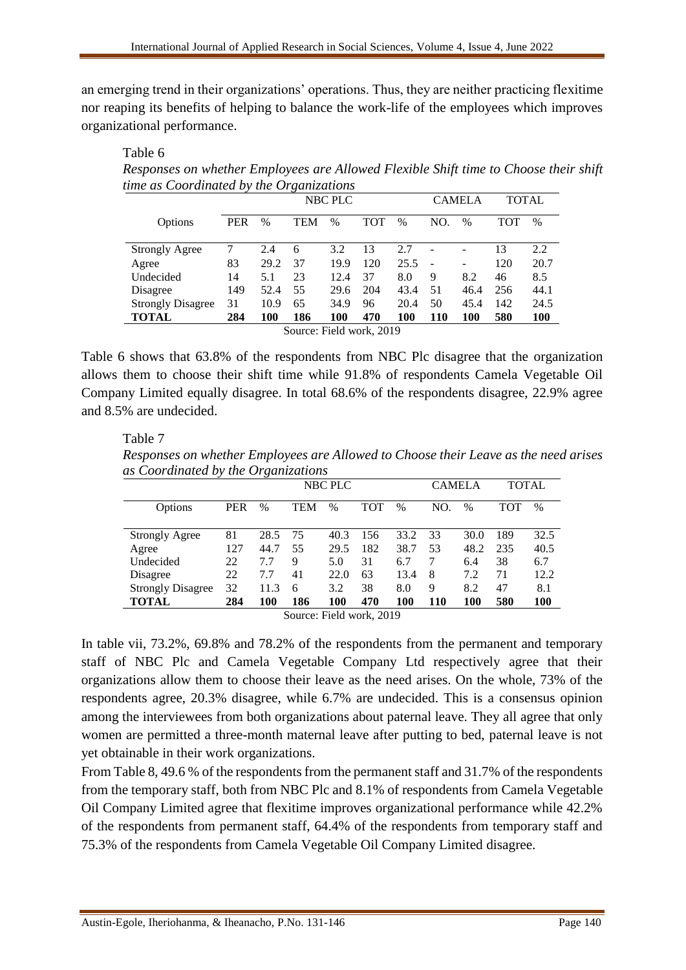an emerging trend in their organizations' operations. Thus, they are neither practicing flexitime nor reaping its benefits of helping to balance the work-life of the employees which improves organizational performance.

Table 6

*Responses on whether Employees are Allowed Flexible Shift time to Choose their shift time as Coordinated by the Organizations* 

|                          |                          |      |            | <b>NBC PLC</b> |            |      |     | <b>CAMELA</b> | TOTAL      |      |  |
|--------------------------|--------------------------|------|------------|----------------|------------|------|-----|---------------|------------|------|--|
| Options                  | <b>PER</b>               | $\%$ | <b>TEM</b> | $\%$           | <b>TOT</b> | $\%$ | NO. | $\%$          | <b>TOT</b> | $\%$ |  |
|                          |                          |      |            |                |            |      |     |               |            |      |  |
| <b>Strongly Agree</b>    |                          | 2.4  | 6          | 3.2            | 13         | 2.7  |     | ۰             | 13         | 2.2  |  |
| Agree                    | 83                       | 29.2 | 37         | 19.9           | 120        | 25.5 |     | ۰             | 120        | 20.7 |  |
| Undecided                | 14                       | 5.1  | 23         | 12.4           | 37         | 8.0  | 9   | 8.2           | 46         | 8.5  |  |
| Disagree                 | 149                      | 52.4 | 55         | 29.6           | 204        | 43.4 | 51  | 46.4          | 256        | 44.1 |  |
| <b>Strongly Disagree</b> | 31                       | 10.9 | 65         | 34.9           | 96         | 20.4 | 50  | 45.4          | 142        | 24.5 |  |
| <b>TOTAL</b>             | 284                      | 100  | 186        | 100            | 470        | 100  | 110 | 100           | 580        | 100  |  |
|                          | Source: Field work, 2019 |      |            |                |            |      |     |               |            |      |  |

Table 6 shows that 63.8% of the respondents from NBC Plc disagree that the organization allows them to choose their shift time while 91.8% of respondents Camela Vegetable Oil Company Limited equally disagree. In total 68.6% of the respondents disagree, 22.9% agree and 8.5% are undecided.

Table 7

*Responses on whether Employees are Allowed to Choose their Leave as the need arises as Coordinated by the Organizations*

|                          |            |      |            | NBC PLC |     |      | <b>CAMELA</b> |      |     | TOTAL |
|--------------------------|------------|------|------------|---------|-----|------|---------------|------|-----|-------|
| Options                  | <b>PER</b> | $\%$ | <b>TEM</b> | $\%$    | тот | $\%$ | NO.           | $\%$ | тот | $\%$  |
|                          |            |      |            |         |     |      |               |      |     |       |
| <b>Strongly Agree</b>    | 81         | 28.5 | 75         | 40.3    | 156 | 33.2 | 33            | 30.0 | 189 | 32.5  |
| Agree                    | 127        | 44.7 | 55         | 29.5    | 182 | 38.7 | 53            | 48.2 | 235 | 40.5  |
| Undecided                | 22         | 7.7  | 9          | 5.0     | 31  | 6.7  |               | 6.4  | 38  | 6.7   |
| Disagree                 | 22         | 7.7  | 41         | 22.0    | 63  | 13.4 | 8             | 7.2  | 71  | 12.2  |
| <b>Strongly Disagree</b> | 32         | 11.3 | 6          | 3.2     | 38  | 8.0  | 9             | 8.2  | 47  | 8.1   |
| <b>TOTAL</b>             | 284        | 100  | 186        | 100     | 470 | 100  | 110           | 100  | 580 | 100   |

Source: Field work, 2019

In table vii,  $73.2\%$ ,  $69.8\%$  and  $78.2\%$  of the respondents from the permanent and temporary staff of NBC Plc and Camela Vegetable Company Ltd respectively agree that their organizations allow them to choose their leave as the need arises. On the whole, 73% of the respondents agree, 20.3% disagree, while 6.7% are undecided. This is a consensus opinion among the interviewees from both organizations about paternal leave. They all agree that only women are permitted a three-month maternal leave after putting to bed, paternal leave is not yet obtainable in their work organizations.

From Table 8, 49.6 % of the respondents from the permanent staff and 31.7% of the respondents from the temporary staff, both from NBC Plc and 8.1% of respondents from Camela Vegetable Oil Company Limited agree that flexitime improves organizational performance while 42.2% of the respondents from permanent staff, 64.4% of the respondents from temporary staff and 75.3% of the respondents from Camela Vegetable Oil Company Limited disagree.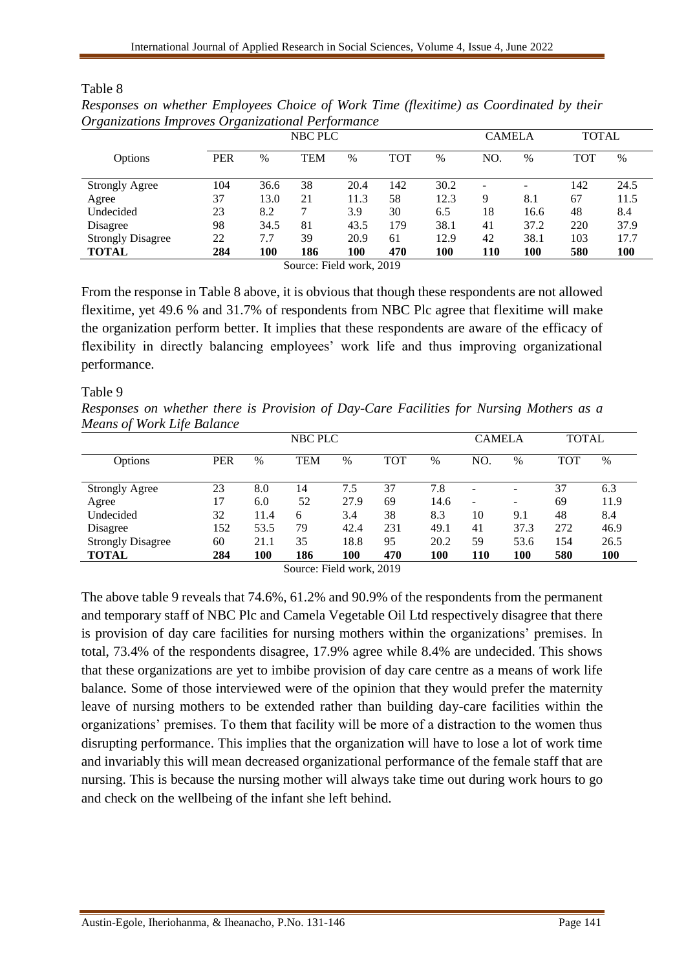| Organizations Improves Organizational Ferjormance |            |      | NBC PLC    |      |            |      | <b>CAMELA</b> |      | <b>TOTAL</b> |      |
|---------------------------------------------------|------------|------|------------|------|------------|------|---------------|------|--------------|------|
|                                                   |            |      |            |      |            |      |               |      |              |      |
| Options                                           | <b>PER</b> | %    | <b>TEM</b> | $\%$ | <b>TOT</b> | $\%$ | NO.           | $\%$ | <b>TOT</b>   | $\%$ |
| <b>Strongly Agree</b>                             | 104        | 36.6 | 38         | 20.4 | 142        | 30.2 |               |      | 142          | 24.5 |
| Agree                                             | 37         | 13.0 | 21         | 11.3 | 58         | 12.3 | 9             | 8.1  | 67           | 11.5 |
| Undecided                                         | 23         | 8.2  |            | 3.9  | 30         | 6.5  | 18            | 16.6 | 48           | 8.4  |
| Disagree                                          | 98         | 34.5 | 81         | 43.5 | 179        | 38.1 | 41            | 37.2 | 220          | 37.9 |
| <b>Strongly Disagree</b>                          | 22         | 7.7  | 39         | 20.9 | 61         | 12.9 | 42            | 38.1 | 103          | 17.7 |
| <b>TOTAL</b>                                      | 284        | 100  | 186        | 100  | 470        | 100  | 110           | 100  | 580          | 100  |

| Responses on whether Employees Choice of Work Time (flexitime) as Coordinated by their |  |  |  |
|----------------------------------------------------------------------------------------|--|--|--|
| Organizations Improves Organizational Performance                                      |  |  |  |

Source: Field work, 2019

From the response in Table 8 above, it is obvious that though these respondents are not allowed flexitime, yet 49.6 % and 31.7% of respondents from NBC Plc agree that flexitime will make the organization perform better. It implies that these respondents are aware of the efficacy of flexibility in directly balancing employees' work life and thus improving organizational performance.

#### Table 9

Table 8

*Responses on whether there is Provision of Day-Care Facilities for Nursing Mothers as a Means of Work Life Balance* 

| $\cdot$<br>$\cdot$<br>NBC PLC |      |            |      |            |      |                          | <b>CAMELA</b>            |            | <b>TOTAL</b> |  |
|-------------------------------|------|------------|------|------------|------|--------------------------|--------------------------|------------|--------------|--|
| <b>PER</b>                    | $\%$ | <b>TEM</b> | $\%$ | <b>TOT</b> | $\%$ | NO.                      | $\%$                     | <b>TOT</b> | $\%$         |  |
|                               |      |            |      |            |      |                          |                          |            |              |  |
|                               |      |            |      |            |      | $\overline{\phantom{0}}$ | $\overline{\phantom{0}}$ |            | 6.3          |  |
| 17                            | 6.0  | 52         | 27.9 | 69         | 14.6 | -                        | -                        | 69         | 11.9         |  |
| 32                            | 11.4 | 6          | 3.4  | 38         | 8.3  | 10                       | 9.1                      | 48         | 8.4          |  |
| 152                           | 53.5 | 79         | 42.4 | 231        | 49.1 | 41                       | 37.3                     | 272        | 46.9         |  |
| 60                            | 21.1 | 35         | 18.8 | 95         | 20.2 | 59                       | 53.6                     | 154        | 26.5         |  |
| 284                           | 100  | 186        | 100  | 470        | 100  | 110                      | 100                      | 580        | <b>100</b>   |  |
|                               | 23   | 8.0        | 14   | 7.5        | 37   | 7.8                      |                          |            | 37           |  |

Source: Field work, 2019

The above table 9 reveals that 74.6%, 61.2% and 90.9% of the respondents from the permanent and temporary staff of NBC Plc and Camela Vegetable Oil Ltd respectively disagree that there is provision of day care facilities for nursing mothers within the organizations' premises. In total, 73.4% of the respondents disagree, 17.9% agree while 8.4% are undecided. This shows that these organizations are yet to imbibe provision of day care centre as a means of work life balance. Some of those interviewed were of the opinion that they would prefer the maternity leave of nursing mothers to be extended rather than building day-care facilities within the organizations' premises. To them that facility will be more of a distraction to the women thus disrupting performance. This implies that the organization will have to lose a lot of work time and invariably this will mean decreased organizational performance of the female staff that are nursing. This is because the nursing mother will always take time out during work hours to go and check on the wellbeing of the infant she left behind.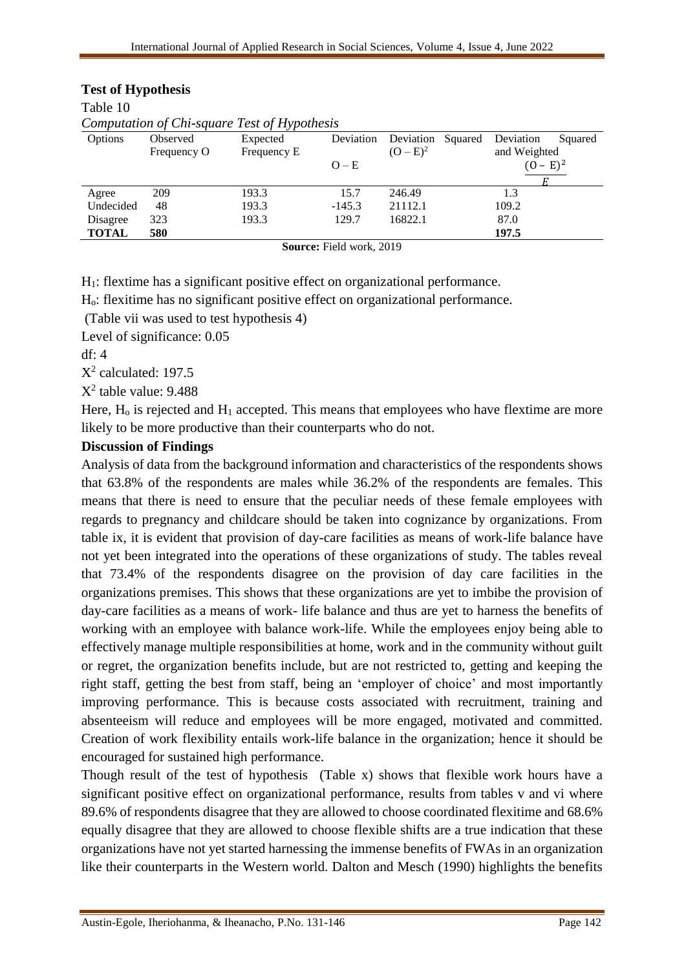| Computation of Chi-square Test of Hypothesis  |             |             |           |                      |                      |  |  |  |  |  |  |
|-----------------------------------------------|-------------|-------------|-----------|----------------------|----------------------|--|--|--|--|--|--|
| Options                                       | Observed    | Expected    | Deviation | Deviation<br>Squared | Deviation<br>Squared |  |  |  |  |  |  |
|                                               | Frequency O | Frequency E |           | $(O - E)^2$          | and Weighted         |  |  |  |  |  |  |
|                                               |             |             | $O-E$     |                      | $(0 - E)^2$          |  |  |  |  |  |  |
|                                               |             |             |           |                      |                      |  |  |  |  |  |  |
| Agree                                         | 209         | 193.3       | 15.7      | 246.49               | 1.3                  |  |  |  |  |  |  |
| Undecided                                     | 48          | 193.3       | $-145.3$  | 21112.1              | 109.2                |  |  |  |  |  |  |
| Disagree                                      | 323         | 193.3       | 129.7     | 16822.1              | 87.0                 |  |  |  |  |  |  |
| <b>TOTAL</b>                                  | 580         |             |           |                      | 197.5                |  |  |  |  |  |  |
| $\mathbb{C}_{\text{OMMOM}}$ Eight work $2010$ |             |             |           |                      |                      |  |  |  |  |  |  |

#### **Test of Hypothesis**

Table 10

**Source:** Field work, 2019

H1: flextime has a significant positive effect on organizational performance.

Ho: flexitime has no significant positive effect on organizational performance.

(Table vii was used to test hypothesis 4)

Level of significance: 0.05

df: 4

X 2 calculated: 197.5

 $X^2$  table value: 9.488

Here,  $H_0$  is rejected and  $H_1$  accepted. This means that employees who have flextime are more likely to be more productive than their counterparts who do not.

## **Discussion of Findings**

Analysis of data from the background information and characteristics of the respondents shows that 63.8% of the respondents are males while 36.2% of the respondents are females. This means that there is need to ensure that the peculiar needs of these female employees with regards to pregnancy and childcare should be taken into cognizance by organizations. From table ix, it is evident that provision of day-care facilities as means of work-life balance have not yet been integrated into the operations of these organizations of study. The tables reveal that 73.4% of the respondents disagree on the provision of day care facilities in the organizations premises. This shows that these organizations are yet to imbibe the provision of day-care facilities as a means of work- life balance and thus are yet to harness the benefits of working with an employee with balance work-life. While the employees enjoy being able to effectively manage multiple responsibilities at home, work and in the community without guilt or regret, the organization benefits include, but are not restricted to, getting and keeping the right staff, getting the best from staff, being an 'employer of choice' and most importantly improving performance. This is because costs associated with recruitment, training and absenteeism will reduce and employees will be more engaged, motivated and committed. Creation of work flexibility entails work-life balance in the organization; hence it should be encouraged for sustained high performance.

Though result of the test of hypothesis (Table x) shows that flexible work hours have a significant positive effect on organizational performance, results from tables v and vi where 89.6% of respondents disagree that they are allowed to choose coordinated flexitime and 68.6% equally disagree that they are allowed to choose flexible shifts are a true indication that these organizations have not yet started harnessing the immense benefits of FWAs in an organization like their counterparts in the Western world. Dalton and Mesch (1990) highlights the benefits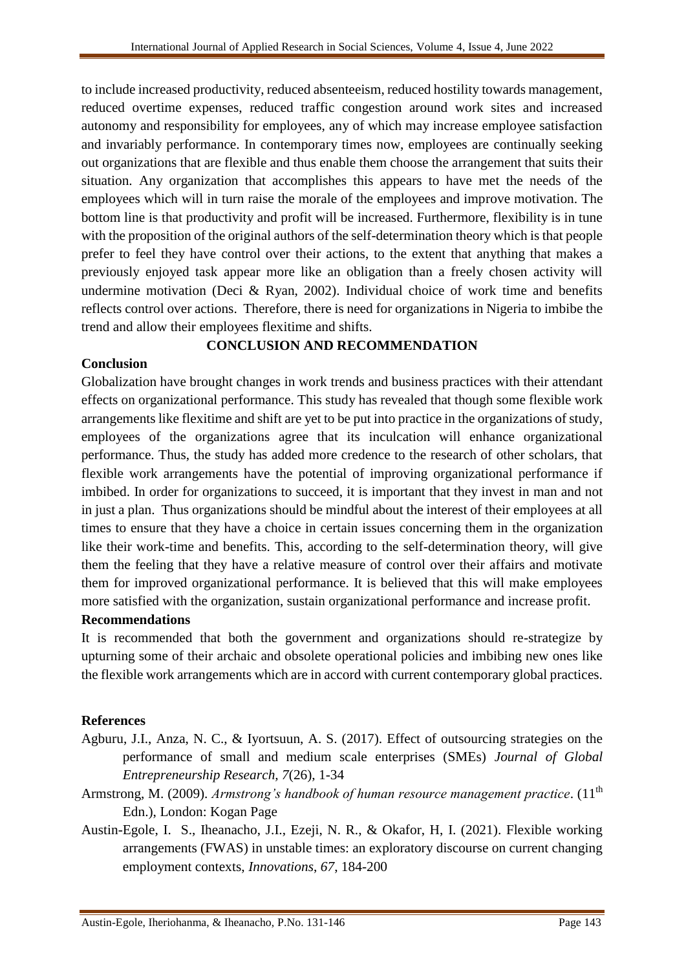to include increased productivity, reduced absenteeism, reduced hostility towards management, reduced overtime expenses, reduced traffic congestion around work sites and increased autonomy and responsibility for employees, any of which may increase employee satisfaction and invariably performance. In contemporary times now, employees are continually seeking out organizations that are flexible and thus enable them choose the arrangement that suits their situation. Any organization that accomplishes this appears to have met the needs of the employees which will in turn raise the morale of the employees and improve motivation. The bottom line is that productivity and profit will be increased. Furthermore, flexibility is in tune with the proposition of the original authors of the self-determination theory which is that people prefer to feel they have control over their actions, to the extent that anything that makes a previously enjoyed task appear more like an obligation than a freely chosen activity will undermine motivation (Deci & Ryan, 2002). Individual choice of work time and benefits reflects control over actions. Therefore, there is need for organizations in Nigeria to imbibe the trend and allow their employees flexitime and shifts.

# **CONCLUSION AND RECOMMENDATION**

## **Conclusion**

Globalization have brought changes in work trends and business practices with their attendant effects on organizational performance. This study has revealed that though some flexible work arrangements like flexitime and shift are yet to be put into practice in the organizations of study, employees of the organizations agree that its inculcation will enhance organizational performance. Thus, the study has added more credence to the research of other scholars, that flexible work arrangements have the potential of improving organizational performance if imbibed. In order for organizations to succeed, it is important that they invest in man and not in just a plan. Thus organizations should be mindful about the interest of their employees at all times to ensure that they have a choice in certain issues concerning them in the organization like their work-time and benefits. This, according to the self-determination theory, will give them the feeling that they have a relative measure of control over their affairs and motivate them for improved organizational performance. It is believed that this will make employees more satisfied with the organization, sustain organizational performance and increase profit.

#### **Recommendations**

It is recommended that both the government and organizations should re-strategize by upturning some of their archaic and obsolete operational policies and imbibing new ones like the flexible work arrangements which are in accord with current contemporary global practices.

#### **References**

- Agburu, J.I., Anza, N. C., & Iyortsuun, A. S. (2017). Effect of outsourcing strategies on the performance of small and medium scale enterprises (SMEs) *Journal of Global Entrepreneurship Research, 7*(26), 1-34
- Armstrong, M. (2009). *Armstrong's handbook of human resource management practice*. (11<sup>th</sup> Edn.), London: Kogan Page
- Austin-Egole, I. S., Iheanacho, J.I., Ezeji, N. R., & Okafor, H, I. (2021). Flexible working arrangements (FWAS) in unstable times: an exploratory discourse on current changing employment contexts, *Innovations*, *67*, 184-200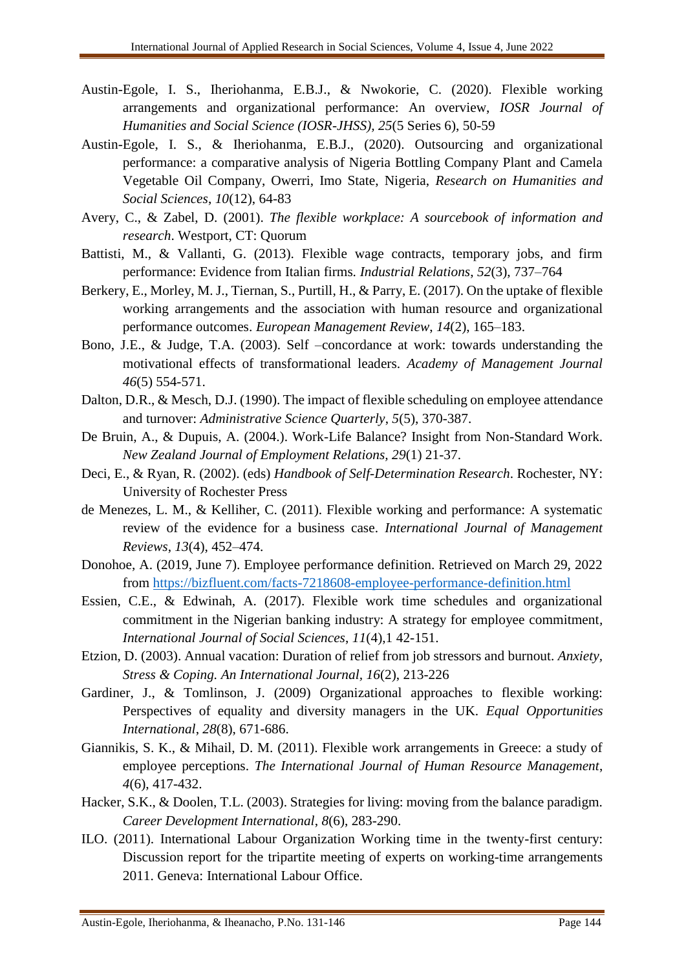- Austin-Egole, I. S., Iheriohanma, E.B.J., & Nwokorie, C. (2020). Flexible working arrangements and organizational performance: An overview, *IOSR Journal of Humanities and Social Science (IOSR-JHSS), 25*(5 Series 6), 50-59
- Austin-Egole, I. S., & Iheriohanma, E.B.J., (2020). Outsourcing and organizational performance: a comparative analysis of Nigeria Bottling Company Plant and Camela Vegetable Oil Company, Owerri, Imo State, Nigeria, *Research on Humanities and Social Sciences*, *10*(12), 64-83
- Avery, C., & Zabel, D. (2001). *The flexible workplace: A sourcebook of information and research*. Westport, CT: Quorum
- Battisti, M., & Vallanti, G. (2013). Flexible wage contracts, temporary jobs, and firm performance: Evidence from Italian firms*. Industrial Relations*, *52*(3), 737–764
- Berkery, E., Morley, M. J., Tiernan, S., Purtill, H., & Parry, E. (2017). On the uptake of flexible working arrangements and the association with human resource and organizational performance outcomes. *European Management Review*, *14*(2), 165–183.
- Bono, J.E., & Judge, T.A. (2003). Self –concordance at work: towards understanding the motivational effects of transformational leaders. *Academy of Management Journal 46*(5) 554-571.
- Dalton, D.R., & Mesch, D.J. (1990). The impact of flexible scheduling on employee attendance and turnover: *Administrative Science Quarterly*, *5*(5), 370-387.
- De Bruin, A., & Dupuis, A. (2004.). Work-Life Balance? Insight from Non-Standard Work. *New Zealand Journal of Employment Relations, 29*(1) 21-37.
- Deci, E., & Ryan, R. (2002). (eds) *Handbook of Self-Determination Research*. Rochester, NY: University of Rochester Press
- de Menezes, L. M., & Kelliher, C. (2011). Flexible working and performance: A systematic review of the evidence for a business case. *International Journal of Management Reviews*, *13*(4), 452–474.
- Donohoe, A. (2019, June 7). Employee performance definition. Retrieved on March 29, 2022 from<https://bizfluent.com/facts-7218608-employee-performance-definition.html>
- Essien, C.E., & Edwinah, A. (2017). Flexible work time schedules and organizational commitment in the Nigerian banking industry: A strategy for employee commitment*, International Journal of Social Sciences*, *11*(4),1 42-151.
- Etzion, D. (2003). Annual vacation: Duration of relief from job stressors and burnout. *Anxiety, Stress & Coping. An International Journal, 16*(2), 213-226
- Gardiner, J., & Tomlinson, J. (2009) Organizational approaches to flexible working: Perspectives of equality and diversity managers in the UK. *Equal Opportunities International*, *28*(8), 671-686.
- Giannikis, S. K., & Mihail, D. M. (2011). Flexible work arrangements in Greece: a study of employee perceptions. *The International Journal of Human Resource Management*, *4*(6), 417-432.
- Hacker, S.K., & Doolen, T.L. (2003). Strategies for living: moving from the balance paradigm. *Career Development International*, *8*(6), 283-290.
- ILO. (2011). International Labour Organization Working time in the twenty-first century: Discussion report for the tripartite meeting of experts on working-time arrangements 2011. Geneva: International Labour Office.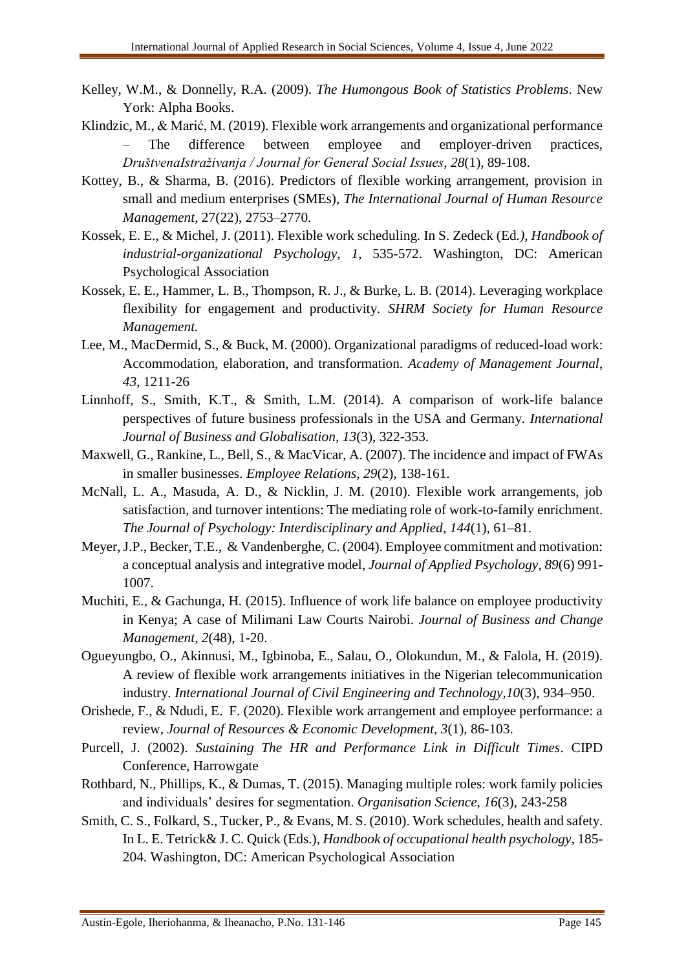- Kelley, W.M., & Donnelly, R.A. (2009). *The Humongous Book of Statistics Problems*. New York: Alpha Books.
- Klindzic, M., & Marić, M. (2019). Flexible work arrangements and organizational performance – The difference between employee and employer-driven practices, *DruštvenaIstraživanja / Journal for General Social Issues*, *28*(1), 89-108.
- Kottey, B., & Sharma, B. (2016). Predictors of flexible working arrangement, provision in small and medium enterprises (SMEs), *The International Journal of Human Resource Management*, 27(22), 2753–2770.
- Kossek, E. E., & Michel, J. (2011). Flexible work scheduling. In S. Zedeck (Ed*.), Handbook of industrial-organizational Psychology*, *1*, 535-572. Washington, DC: American Psychological Association
- Kossek, E. E., Hammer, L. B., Thompson, R. J., & Burke, L. B. (2014). Leveraging workplace flexibility for engagement and productivity. *SHRM Society for Human Resource Management.*
- Lee, M., MacDermid, S., & Buck, M. (2000). Organizational paradigms of reduced-load work: Accommodation, elaboration, and transformation*. Academy of Management Journal*, *43*, 1211-26
- Linnhoff, S., Smith, K.T., & Smith, L.M. (2014). A comparison of work-life balance perspectives of future business professionals in the USA and Germany. *International Journal of Business and Globalisation, 13*(3), 322-353.
- Maxwell, G., Rankine, L., Bell, S., & MacVicar, A. (2007). The incidence and impact of FWAs in smaller businesses. *Employee Relations*, *29*(2), 138-161.
- McNall, L. A., Masuda, A. D., & Nicklin, J. M. (2010). Flexible work arrangements, job satisfaction, and turnover intentions: The mediating role of work-to-family enrichment. *The Journal of Psychology: Interdisciplinary and Applied*, *144*(1), 61–81.
- Meyer, J.P., Becker, T.E., & Vandenberghe, C. (2004). Employee commitment and motivation: a conceptual analysis and integrative model*, Journal of Applied Psychology, 89*(6) 991- 1007.
- Muchiti, E., & Gachunga, H. (2015). Influence of work life balance on employee productivity in Kenya; A case of Milimani Law Courts Nairobi. *Journal of Business and Change Management*, *2*(48), 1-20.
- Ogueyungbo, O., Akinnusi, M., Igbinoba, E., Salau, O., Olokundun, M., & Falola, H. (2019). A review of flexible work arrangements initiatives in the Nigerian telecommunication industry*. International Journal of Civil Engineering and Technology,10*(3), 934–950.
- Orishede, F., & Ndudi, E. F. (2020). Flexible work arrangement and employee performance: a review, *Journal of Resources & Economic Development*, *3*(1), 86-103.
- Purcell, J. (2002). *Sustaining The HR and Performance Link in Difficult Times*. CIPD Conference, Harrowgate
- Rothbard, N., Phillips, K., & Dumas, T. (2015). Managing multiple roles: work family policies and individuals' desires for segmentation. *Organisation Science*, *16*(3), 243-258
- Smith, C. S., Folkard, S., Tucker, P., & Evans, M. S. (2010). Work schedules, health and safety. In L. E. Tetrick& J. C. Quick (Eds.), *Handbook of occupational health psychology*, 185- 204. Washington, DC: American Psychological Association